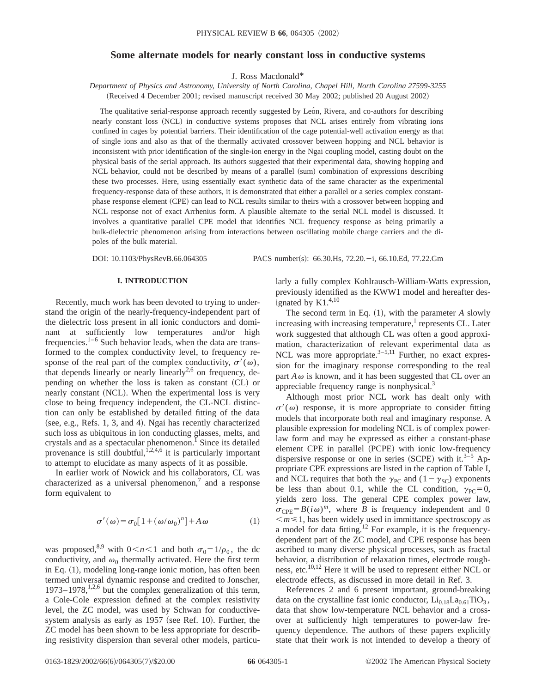# **Some alternate models for nearly constant loss in conductive systems**

J. Ross Macdonald\*

*Department of Physics and Astronomy, University of North Carolina, Chapel Hill, North Carolina 27599-3255* (Received 4 December 2001; revised manuscript received 30 May 2002; published 20 August 2002)

The qualitative serial-response approach recently suggested by León, Rivera, and co-authors for describing nearly constant loss (NCL) in conductive systems proposes that NCL arises entirely from vibrating ions confined in cages by potential barriers. Their identification of the cage potential-well activation energy as that of single ions and also as that of the thermally activated crossover between hopping and NCL behavior is inconsistent with prior identification of the single-ion energy in the Ngai coupling model, casting doubt on the physical basis of the serial approach. Its authors suggested that their experimental data, showing hopping and NCL behavior, could not be described by means of a parallel (sum) combination of expressions describing these two processes. Here, using essentially exact synthetic data of the same character as the experimental frequency-response data of these authors, it is demonstrated that either a parallel or a series complex constantphase response element (CPE) can lead to NCL results similar to theirs with a crossover between hopping and NCL response not of exact Arrhenius form. A plausible alternate to the serial NCL model is discussed. It involves a quantitative parallel CPE model that identifies NCL frequency response as being primarily a bulk-dielectric phenomenon arising from interactions between oscillating mobile charge carriers and the dipoles of the bulk material.

DOI: 10.1103/PhysRevB.66.064305 PACS number(s): 66.30.Hs, 72.20. - i, 66.10.Ed, 77.22.Gm

### **I. INTRODUCTION**

Recently, much work has been devoted to trying to understand the origin of the nearly-frequency-independent part of the dielectric loss present in all ionic conductors and dominant at sufficiently low temperatures and/or high frequencies. $1-6$  Such behavior leads, when the data are transformed to the complex conductivity level, to frequency response of the real part of the complex conductivity,  $\sigma'(\omega)$ , that depends linearly or nearly linearly<sup>2,6</sup> on frequency, depending on whether the loss is taken as constant  $(CL)$  or nearly constant (NCL). When the experimental loss is very close to being frequency independent, the CL-NCL distinction can only be established by detailed fitting of the data (see, e.g., Refs. 1, 3, and 4). Ngai has recently characterized such loss as ubiquitous in ion conducting glasses, melts, and crystals and as a spectacular phenomenon.<sup>1</sup> Since its detailed provenance is still doubtful,  $1,2,4,6$  it is particularly important to attempt to elucidate as many aspects of it as possible.

In earlier work of Nowick and his collaborators, CL was characterized as a universal phenomenon,<sup>7</sup> and a response form equivalent to

$$
\sigma'(\omega) = \sigma_0[1 + (\omega/\omega_0)^n] + A\omega \tag{1}
$$

was proposed,<sup>8,9</sup> with  $0 \lt n \lt 1$  and both  $\sigma_0 = 1/\rho_0$ , the dc conductivity, and  $\omega_0$  thermally activated. Here the first term in Eq.  $(1)$ , modeling long-range ionic motion, has often been termed universal dynamic response and credited to Jonscher, 1973–1978,<sup>1,2,6</sup> but the complex generalization of this term, a Cole-Cole expression defined at the complex resistivity level, the ZC model, was used by Schwan for conductivesystem analysis as early as  $1957$  (see Ref. 10). Further, the ZC model has been shown to be less appropriate for describing resistivity dispersion than several other models, particularly a fully complex Kohlrausch-William-Watts expression, previously identified as the KWW1 model and hereafter designated by  $K1.^{4,10}$ 

The second term in Eq.  $(1)$ , with the parameter *A* slowly increasing with increasing temperature, $\frac{1}{1}$  represents CL. Later work suggested that although CL was often a good approximation, characterization of relevant experimental data as NCL was more appropriate.<sup>3–5,11</sup> Further, no exact expression for the imaginary response corresponding to the real part  $A\omega$  is known, and it has been suggested that CL over an appreciable frequency range is nonphysical.3

Although most prior NCL work has dealt only with  $\sigma'(\omega)$  response, it is more appropriate to consider fitting models that incorporate both real and imaginary response. A plausible expression for modeling NCL is of complex powerlaw form and may be expressed as either a constant-phase element CPE in parallel (PCPE) with ionic low-frequency dispersive response or one in series (SCPE) with it.<sup>3–5</sup> Appropriate CPE expressions are listed in the caption of Table I, and NCL requires that both the  $\gamma_{PC}$  and (1- $\gamma_{SC}$ ) exponents be less than about 0.1, while the CL condition,  $\gamma_{PC} = 0$ , yields zero loss. The general CPE complex power law,  $\sigma_{\text{CPE}} = B(i\omega)^m$ , where *B* is frequency independent and 0  $\leq m \leq 1$ , has been widely used in immittance spectroscopy as a model for data fitting.<sup>12</sup> For example, it is the frequencydependent part of the ZC model, and CPE response has been ascribed to many diverse physical processes, such as fractal behavior, a distribution of relaxation times, electrode roughness, etc.10,12 Here it will be used to represent either NCL or electrode effects, as discussed in more detail in Ref. 3.

References 2 and 6 present important, ground-breaking data on the crystalline fast ionic conductor,  $Li_{0.18}La_{0.61}TiO_3$ , data that show low-temperature NCL behavior and a crossover at sufficiently high temperatures to power-law frequency dependence. The authors of these papers explicitly state that their work is not intended to develop a theory of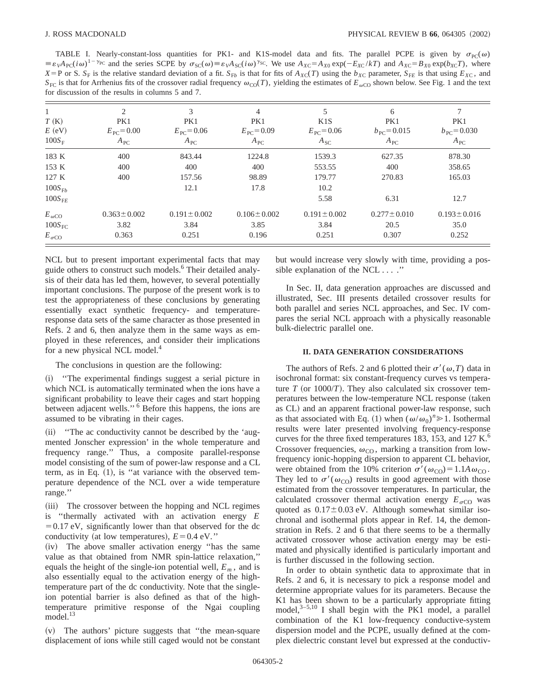TABLE I. Nearly-constant-loss quantities for PK1- and K1S-model data and fits. The parallel PCPE is given by  $\sigma_{\text{PC}}(\omega)$  $\equiv \varepsilon_V A_{\text{PC}}(i\omega)^{1-\gamma_{\text{PC}}}$  and the series SCPE by  $\sigma_{\text{SC}}(\omega) \equiv \varepsilon_V A_{\text{SC}}(i\omega)^{\gamma_{\text{SC}}}$ . We use  $A_{\text{XC}} = A_{X0} \exp(-E_{\text{XC}}/kT)$  and  $A_{\text{XC}} = B_{X0} \exp(b_{\text{XC}}T)$ , where  $X = P$  or S.  $S_F$  is the relative standard deviation of a fit.  $S_{Fb}$  is that for fits of  $A_{XC}(T)$  using the  $b_{XC}$  parameter,  $S_{FE}$  is that using  $E_{XC}$ , and  $S_{FC}$  is that for Arrhenius fits of the crossover radial frequency  $\omega_{CO}(T)$ , yielding the estimates of  $E_{\omega CO}$  shown below. See Fig. 1 and the text for discussion of the results in columns 5 and 7.

| T(K)<br>$E$ (eV)<br>$100S_F$ | $\overline{2}$<br>PK1<br>$E_{\rm{PC}} = 0.00$<br>$A_{\rm PC}$ | 3<br>PK1<br>$E_{\rm PC} = 0.06$<br>$A_{\rm PC}$ | 4<br>PK1<br>$E_{\rm{PC}} = 0.09$<br>$A_{\rm PC}$ | K1S<br>$E_{\rm{PC}} = 0.06$<br>$A_{SC}$ | 6<br>PK1<br>$b_{\rm{PC}} = 0.015$<br>$A_{\rm PC}$ | PK1<br>$b_{\text{PC}} = 0.030$<br>$A_{\rm PC}$ |
|------------------------------|---------------------------------------------------------------|-------------------------------------------------|--------------------------------------------------|-----------------------------------------|---------------------------------------------------|------------------------------------------------|
| 183 K                        | 400                                                           | 843.44                                          | 1224.8                                           | 1539.3                                  | 627.35                                            | 878.30                                         |
| 153 K                        | 400                                                           | 400                                             | 400                                              | 553.55                                  | 400                                               | 358.65                                         |
| 127K                         | 400                                                           | 157.56                                          | 98.89                                            | 179.77                                  | 270.83                                            | 165.03                                         |
| $100S_{Fb}$                  |                                                               | 12.1                                            | 17.8                                             | 10.2                                    |                                                   |                                                |
| $100S_{FE}$                  |                                                               |                                                 |                                                  | 5.58                                    | 6.31                                              | 12.7                                           |
| $E_{\omega CO}$              | $0.363 \pm 0.002$                                             | $0.191 \pm 0.002$                               | $0.106 \pm 0.002$                                | $0.191 \pm 0.002$                       | $0.277 \pm 0.010$                                 | $0.193 \pm 0.016$                              |
| $100S_{\text{FC}}$           | 3.82                                                          | 3.84                                            | 3.85                                             | 3.84                                    | 20.5                                              | 35.0                                           |
| $E_{\sigma CO}$              | 0.363                                                         | 0.251                                           | 0.196                                            | 0.251                                   | 0.307                                             | 0.252                                          |

NCL but to present important experimental facts that may guide others to construct such models.<sup>6</sup> Their detailed analysis of their data has led them, however, to several potentially important conclusions. The purpose of the present work is to test the appropriateness of these conclusions by generating essentially exact synthetic frequency- and temperatureresponse data sets of the same character as those presented in Refs. 2 and 6, then analyze them in the same ways as employed in these references, and consider their implications for a new physical NCL model.<sup>4</sup>

The conclusions in question are the following:

~i! ''The experimental findings suggest a serial picture in which NCL is automatically terminated when the ions have a significant probability to leave their cages and start hopping between adjacent wells.'' <sup>6</sup> Before this happens, the ions are assumed to be vibrating in their cages.

(ii) "The ac conductivity cannot be described by the 'augmented Jonscher expression' in the whole temperature and frequency range.'' Thus, a composite parallel-response model consisting of the sum of power-law response and a CL term, as in Eq.  $(1)$ , is "at variance with the observed temperature dependence of the NCL over a wide temperature range.''

(iii) The crossover between the hopping and NCL regimes is ''thermally activated with an activation energy *E*  $=0.17$  eV, significantly lower than that observed for the dc conductivity (at low temperatures),  $E=0.4$  eV."

(iv) The above smaller activation energy "has the same value as that obtained from NMR spin-lattice relaxation,'' equals the height of the single-ion potential well,  $E_m$ , and is also essentially equal to the activation energy of the hightemperature part of the dc conductivity. Note that the singleion potential barrier is also defined as that of the hightemperature primitive response of the Ngai coupling model. $^{13}$ 

(v) The authors' picture suggests that "the mean-square" displacement of ions while still caged would not be constant but would increase very slowly with time, providing a possible explanation of the NCL . . . .''

In Sec. II, data generation approaches are discussed and illustrated, Sec. III presents detailed crossover results for both parallel and series NCL approaches, and Sec. IV compares the serial NCL approach with a physically reasonable bulk-dielectric parallel one.

### **II. DATA GENERATION CONSIDERATIONS**

The authors of Refs. 2 and 6 plotted their  $\sigma'(\omega,T)$  data in isochronal format: six constant-frequency curves vs temperature  $T$  (or 1000/*T*). They also calculated six crossover temperatures between the low-temperature NCL response (taken as CL) and an apparent fractional power-law response, such as that associated with Eq. (1) when  $(\omega/\omega_0)^n \ge 1$ . Isothermal results were later presented involving frequency-response curves for the three fixed temperatures 183, 153, and 127 K. $<sup>6</sup>$ </sup> Crossover frequencies,  $\omega_{\text{CO}}$ , marking a transition from lowfrequency ionic-hopping dispersion to apparent CL behavior, were obtained from the 10% criterion  $\sigma'(\omega_{\text{CO}})=1.1A\omega_{\text{CO}}$ . They led to  $\sigma'(\omega_{\text{CO}})$  results in good agreement with those estimated from the crossover temperatures. In particular, the calculated crossover thermal activation energy  $E_{\sigma CO}$  was quoted as  $0.17\pm0.03$  eV. Although somewhat similar isochronal and isothermal plots appear in Ref. 14, the demonstration in Refs. 2 and 6 that there seems to be a thermally activated crossover whose activation energy may be estimated and physically identified is particularly important and is further discussed in the following section.

In order to obtain synthetic data to approximate that in Refs. 2 and 6, it is necessary to pick a response model and determine appropriate values for its parameters. Because the K1 has been shown to be a particularly appropriate fitting model, $3-5,10$  I shall begin with the PK1 model, a parallel combination of the K1 low-frequency conductive-system dispersion model and the PCPE, usually defined at the complex dielectric constant level but expressed at the conductiv-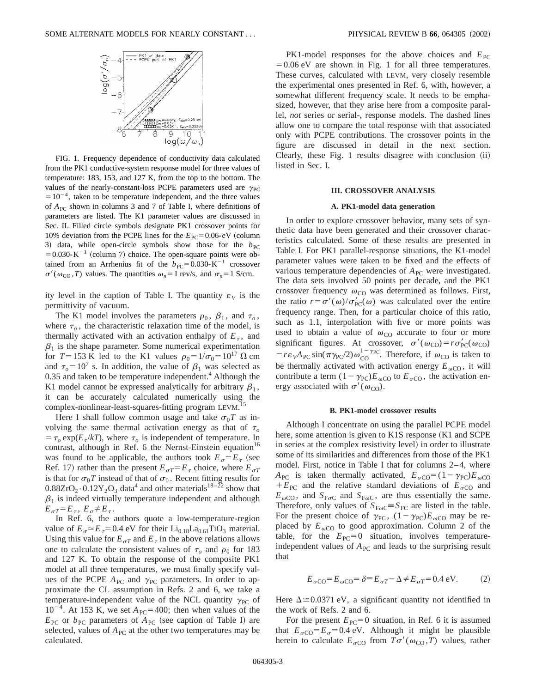

FIG. 1. Frequency dependence of conductivity data calculated from the PK1 conductive-system response model for three values of temperature: 183, 153, and 127 K, from the top to the bottom. The values of the nearly-constant-loss PCPE parameters used are  $\gamma_{PC}$  $=10^{-4}$ , taken to be temperature independent, and the three values of  $A_{PC}$  shown in columns 3 and 7 of Table I, where definitions of parameters are listed. The K1 parameter values are discussed in Sec. II. Filled circle symbols designate PK1 crossover points for 10% deviation from the PCPE lines for the  $E_{\text{PC}}$ =0.06-eV (column 3) data, while open-circle symbols show those for the  $b_{PC}$  $=0.030\text{-K}^{-1}$  (column 7) choice. The open-square points were obtained from an Arrhenius fit of the  $b_{PC}$ =0.030-K<sup>-1</sup> crossover  $\sigma'(\omega_{\text{CO}}, T)$  values. The quantities  $\omega_n = 1$  rev/s, and  $\sigma_n = 1$  S/cm.

ity level in the caption of Table I. The quantity  $\varepsilon_V$  is the permittivity of vacuum.

The K1 model involves the parameters  $\rho_0$ ,  $\beta_1$ , and  $\tau_o$ , where  $\tau_o$ , the characteristic relaxation time of the model, is thermally activated with an activation enthalpy of  $E_{\tau}$ , and  $\beta_1$  is the shape parameter. Some numerical experimentation for  $T=153$  K led to the K1 values  $\rho_0=1/\sigma_0=10^{17}$   $\Omega$  cm and  $\tau_0 = 10^7$  s. In addition, the value of  $\beta_1$  was selected as  $0.35$  and taken to be temperature independent.<sup>4</sup> Although the K1 model cannot be expressed analytically for arbitrary  $\beta_1$ , it can be accurately calculated numerically using the complex-nonlinear-least-squares-fitting program LEVM.<sup>15</sup>

Here I shall follow common usage and take  $\sigma_0T$  as involving the same thermal activation energy as that of  $\tau_{o}$  $= \tau_o \exp(E_{\tau}/kT)$ , where  $\tau_o$  is independent of temperature. In contrast, although in Ref. 6 the Nernst-Einstein equation<sup>16</sup> was found to be applicable, the authors took  $E_{\sigma} = E_{\tau}$  (see Ref. 17) rather than the present  $E_{\sigma T} = E_{\tau}$  choice, where  $E_{\sigma T}$ is that for  $\sigma_0 T$  instead of that of  $\sigma_0$ . Recent fitting results for  $0.88ZrO<sub>2</sub> \cdot 0.12Y<sub>2</sub>O<sub>3</sub>$  data<sup>4</sup> and other materials<sup>18–22</sup> show that  $\beta_1$  is indeed virtually temperature independent and although  $E_{\sigma T} = E_{\tau}$ ,  $E_{\sigma} \neq E_{\tau}$ .

In Ref. 6, the authors quote a low-temperature-region value of  $E_{\sigma} \approx E_{\tau} = 0.4$  eV for their Li<sub>0.18</sub>La<sub>0.61</sub>TiO<sub>3</sub> material. Using this value for  $E_{\sigma T}$  and  $E_{\tau}$  in the above relations allows one to calculate the consistent values of  $\tau_o$  and  $\rho_0$  for 183 and 127 K. To obtain the response of the composite PK1 model at all three temperatures, we must finally specify values of the PCPE  $A_{PC}$  and  $\gamma_{PC}$  parameters. In order to approximate the CL assumption in Refs. 2 and 6, we take a temperature-independent value of the NCL quantity  $\gamma_{PC}$  of  $10^{-4}$ . At 153 K, we set  $A_{PC}$ =400; then when values of the  $E_{\text{PC}}$  or  $b_{\text{PC}}$  parameters of  $A_{\text{PC}}$  (see caption of Table I) are selected, values of  $A_{PC}$  at the other two temperatures may be calculated.

PK1-model responses for the above choices and  $E_{\text{PC}}$  $=0.06$  eV are shown in Fig. 1 for all three temperatures. These curves, calculated with LEVM, very closely resemble the experimental ones presented in Ref. 6, with, however, a somewhat different frequency scale. It needs to be emphasized, however, that they arise here from a composite parallel, *not* series or serial-, response models. The dashed lines allow one to compare the total response with that associated only with PCPE contributions. The crossover points in the figure are discussed in detail in the next section. Clearly, these Fig. 1 results disagree with conclusion (ii) listed in Sec. I.

#### **III. CROSSOVER ANALYSIS**

### **A. PK1-model data generation**

In order to explore crossover behavior, many sets of synthetic data have been generated and their crossover characteristics calculated. Some of these results are presented in Table I. For PK1 parallel-response situations, the K1-model parameter values were taken to be fixed and the effects of various temperature dependencies of  $A_{PC}$  were investigated. The data sets involved 50 points per decade, and the PK1 crossover frequency  $\omega_{\text{CO}}$  was determined as follows. First, the ratio  $r = \sigma'(\omega)/\sigma'_{\text{PC}}(\omega)$  was calculated over the entire frequency range. Then, for a particular choice of this ratio, such as 1.1, interpolation with five or more points was used to obtain a value of  $\omega_{\text{CO}}$  accurate to four or more significant figures. At crossover,  $\sigma'(\omega_{\text{CO}})=r\sigma'_{\text{PC}}(\omega_{\text{CO}})$  $= r \varepsilon_{V} A_{\text{PC}} \sin(\pi \gamma_{\text{PC}}/2) \omega_{\text{CO}}^{1-\gamma_{\text{PC}}}$ . Therefore, if  $\omega_{\text{CO}}$  is taken to be thermally activated with activation energy  $E_{\omega CQ}$ , it will contribute a term  $(1-\gamma_{PC})E_{\omega C}$  to  $E_{\sigma C}$ , the activation energy associated with  $\sigma'(\omega_{\text{CO}})$ .

#### **B. PK1-model crossover results**

Although I concentrate on using the parallel PCPE model here, some attention is given to K1S response  $(K1)$  and SCPE in series at the complex resistivity level) in order to illustrate some of its similarities and differences from those of the PK1 model. First, notice in Table I that for columns 2–4, where  $A_{PC}$  is taken thermally activated,  $E_{\sigma CO} = (1 - \gamma_{PC})E_{\omega CO}$  $+E_{PC}$  and the relative standard deviations of  $E_{\sigma CO}$  and  $E_{\omega\text{CO}}$ , and  $S_{\text{F}\sigma\text{C}}$  and  $S_{\text{F}\omega\text{C}}$ , are thus essentially the same. Therefore, only values of  $S_{F\omega C} \equiv S_{FC}$  are listed in the table. For the present choice of  $\gamma_{PC}$ ,  $(1-\gamma_{PC})E_{\omega CO}$  may be replaced by  $E_{\omega CO}$  to good approximation. Column 2 of the table, for the  $E_{PC}=0$  situation, involves temperatureindependent values of  $A_{PC}$  and leads to the surprising result that

$$
E_{\sigma\text{CO}} = E_{\omega\text{CO}} = \delta = E_{\sigma T} - \Delta \neq E_{\sigma T} = 0.4 \text{ eV}.
$$
 (2)

Here  $\Delta \approx 0.0371$  eV, a significant quantity not identified in the work of Refs. 2 and 6.

For the present  $E_{\text{PC}}=0$  situation, in Ref. 6 it is assumed that  $E_{\sigma CO} = E_{\sigma} = 0.4$  eV. Although it might be plausible herein to calculate  $E_{\sigma\text{CO}}$  from  $T\sigma'(\omega_{\text{CO}}^{},T)$  values, rather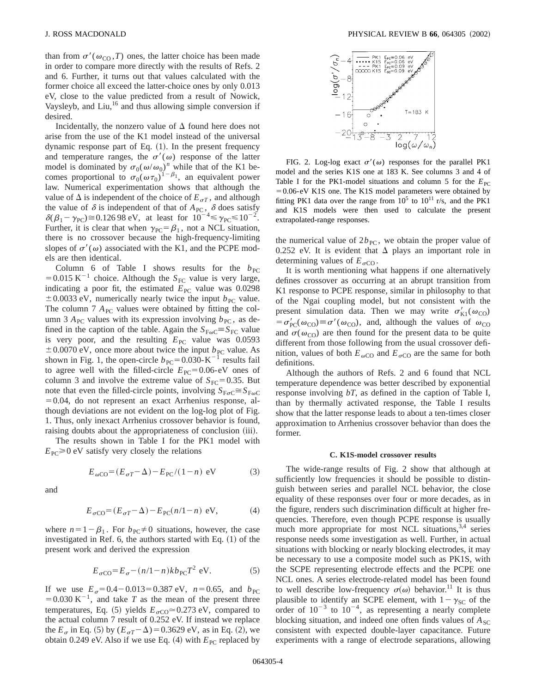than from  $\sigma'(\omega_{\text{CO}}, T)$  ones, the latter choice has been made in order to compare more directly with the results of Refs. 2 and 6. Further, it turns out that values calculated with the former choice all exceed the latter-choice ones by only 0.013 eV, close to the value predicted from a result of Nowick, Vaysleyb, and Liu, $^{16}$  and thus allowing simple conversion if desired.

Incidentally, the nonzero value of  $\Delta$  found here does not arise from the use of the K1 model instead of the universal dynamic response part of Eq.  $(1)$ . In the present frequency and temperature ranges, the  $\sigma'(\omega)$  response of the latter model is dominated by  $\sigma_0(\omega/\omega_0)^n$  while that of the K1 becomes proportional to  $\sigma_0(\omega \tau_0)^{1-\beta_1}$ , an equivalent power law. Numerical experimentation shows that although the value of  $\Delta$  is independent of the choice of  $E_{\sigma T}$ , and although the value of  $\delta$  is independent of that of  $A_{\text{PC}}$ ,  $\delta$  does satisfy  $\delta(\beta_1 - \gamma_{PC}) \approx 0.12698 \text{ eV}$ , at least for  $10^{-4} \le \gamma_{PC} \le 10^{-2}$ . Further, it is clear that when  $\gamma_{PC} = \beta_1$ , not a NCL situation, there is no crossover because the high-frequency-limiting slopes of  $\sigma'(\omega)$  associated with the K1, and the PCPE models are then identical.

Column 6 of Table I shows results for the  $b_{PC}$ = 0.015 K<sup>-1</sup> choice. Although the  $S_{\text{FC}}$  value is very large, indicating a poor fit, the estimated  $E_{\text{PC}}$  value was 0.0298  $\pm$  0.0033 eV, numerically nearly twice the input  $b_{\text{PC}}$  value. The column 7  $A_{PC}$  values were obtained by fitting the column 3  $A_{\text{PC}}$  values with its expression involving  $b_{\text{PC}}$ , as defined in the caption of the table. Again the  $S_{F\omega C} = S_{FC}$  value is very poor, and the resulting  $E_{PC}$  value was 0.0593  $\pm$  0.0070 eV, once more about twice the input  $b_{\text{PC}}$  value. As shown in Fig. 1, the open-circle  $b_{\text{PC}}=0.030\text{-K}^{-1}$  results fail to agree well with the filled-circle  $E_{PC}$ =0.06-eV ones of column 3 and involve the extreme value of  $S_{\text{FC}}=0.35$ . But note that even the filled-circle points, involving  $S_{F\sigma C} \cong S_{F\omega C}$  $=0.04$ , do not represent an exact Arrhenius response, although deviations are not evident on the log-log plot of Fig. 1. Thus, only inexact Arrhenius crossover behavior is found, raising doubts about the appropriateness of conclusion (iii).

The results shown in Table I for the PK1 model with  $E_{\text{PC}} \ge 0$  eV satisfy very closely the relations

$$
E_{\omega CO} = (E_{\sigma T} - \Delta) - E_{\text{PC}}/(1 - n) \text{ eV}
$$
 (3)

and

$$
E_{\sigma\text{CO}} = (E_{\sigma T} - \Delta) - E_{\text{PC}}(n/1 - n) \text{ eV}, \tag{4}
$$

where  $n=1-\beta_1$ . For  $b_{PC}\neq 0$  situations, however, the case investigated in Ref. 6, the authors started with Eq.  $(1)$  of the present work and derived the expression

$$
E_{\sigma\text{CO}} = E_{\sigma} - (n/1 - n)kb_{\text{PC}}T^2 \text{ eV}.
$$
 (5)

If we use  $E_{\sigma}$ =0.4-0.013=0.387 eV,  $n=0.65$ , and  $b_{\text{PC}}$  $=0.030 \text{ K}^{-1}$ , and take *T* as the mean of the present three temperatures, Eq. (5) yields  $E_{\sigma CO} \approx 0.273$  eV, compared to the actual column 7 result of 0.252 eV. If instead we replace the  $E_{\sigma}$  in Eq. (5) by  $(E_{\sigma}T-\Delta) = 0.3629 \text{ eV}$ , as in Eq. (2), we obtain 0.249 eV. Also if we use Eq.  $(4)$  with  $E_{PC}$  replaced by



FIG. 2. Log-log exact  $\sigma'(\omega)$  responses for the parallel PK1 model and the series K1S one at 183 K. See columns 3 and 4 of Table I for the PK1-model situations and column 5 for the  $E_{\text{PC}}$  $=0.06$ -eV K1S one. The K1S model parameters were obtained by fitting PK1 data over the range from  $10^5$  to  $10^{11}$  r/s, and the PK1 and K1S models were then used to calculate the present extrapolated-range responses.

the numerical value of  $2b_{\text{PC}}$ , we obtain the proper value of 0.252 eV. It is evident that  $\Delta$  plays an important role in determining values of  $E_{\sigma\text{CO}}$ .

It is worth mentioning what happens if one alternatively defines crossover as occurring at an abrupt transition from K1 response to PCPE response, similar in philosophy to that of the Ngai coupling model, but not consistent with the present simulation data. Then we may write  $\sigma'_{\text{K1}}(\omega_{\text{CO}})$  $= \sigma'_{\text{PC}}(\omega_{\text{CO}}) \equiv \sigma'(\omega_{\text{CO}})$ , and, although the values of  $\omega_{\text{CO}}$ and  $\sigma(\omega_{\rm CO})$  are then found for the present data to be quite different from those following from the usual crossover definition, values of both  $E_{\omega CO}$  and  $E_{\sigma CO}$  are the same for both definitions.

Although the authors of Refs. 2 and 6 found that NCL temperature dependence was better described by exponential response involving *bT*, as defined in the caption of Table I, than by thermally activated response, the Table I results show that the latter response leads to about a ten-times closer approximation to Arrhenius crossover behavior than does the former.

#### **C. K1S-model crossover results**

The wide-range results of Fig. 2 show that although at sufficiently low frequencies it should be possible to distinguish between series and parallel NCL behavior, the close equality of these responses over four or more decades, as in the figure, renders such discrimination difficult at higher frequencies. Therefore, even though PCPE response is usually much more appropriate for most NCL situations,<sup>3,4</sup> series response needs some investigation as well. Further, in actual situations with blocking or nearly blocking electrodes, it may be necessary to use a composite model such as PK1S, with the SCPE representing electrode effects and the PCPE one NCL ones. A series electrode-related model has been found to well describe low-frequency  $\sigma(\omega)$  behavior.<sup>11</sup> It is thus plausible to identify an SCPE element, with  $1-\gamma_{SC}$  of the order of  $10^{-3}$  to  $10^{-4}$ , as representing a nearly complete blocking situation, and indeed one often finds values of  $A_{SC}$ consistent with expected double-layer capacitance. Future experiments with a range of electrode separations, allowing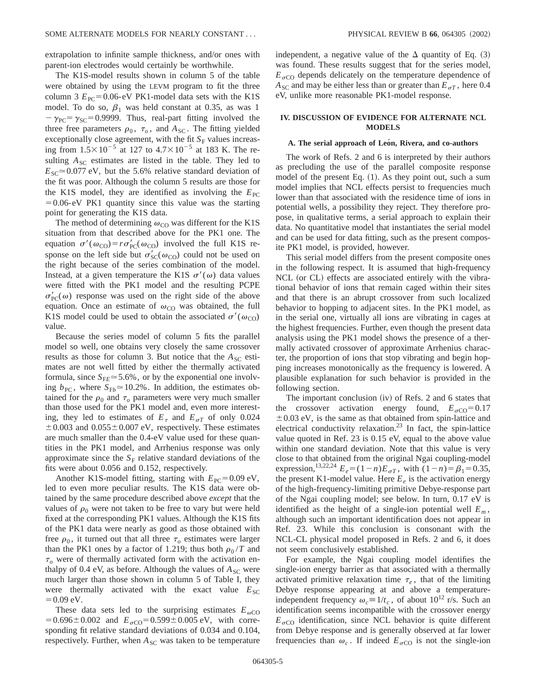extrapolation to infinite sample thickness, and/or ones with parent-ion electrodes would certainly be worthwhile.

The K1S-model results shown in column 5 of the table were obtained by using the LEVM program to fit the three column 3  $E_{\text{PC}}$ =0.06-eV PK1-model data sets with the K1S model. To do so,  $\beta_1$  was held constant at 0.35, as was 1  $-\gamma_{PC} = \gamma_{SC} = 0.9999$ . Thus, real-part fitting involved the three free parameters  $\rho_0$ ,  $\tau_o$ , and  $A_{\rm SC}$ . The fitting yielded exceptionally close agreement, with the fit  $S_F$  values increasing from  $1.5 \times 10^{-5}$  at 127 to  $4.7 \times 10^{-5}$  at 183 K. The resulting  $A_{SC}$  estimates are listed in the table. They led to  $E_{SC} \approx 0.077$  eV, but the 5.6% relative standard deviation of the fit was poor. Although the column 5 results are those for the K1S model, they are identified as involving the  $E_{PC}$  $=0.06$ -eV PK1 quantity since this value was the starting point for generating the K1S data.

The method of determining  $\omega_{\rm CO}$  was different for the K1S situation from that described above for the PK1 one. The equation  $\sigma'(\omega_{\text{CO}}) = r\sigma'_{\text{PC}}(\omega_{\text{CO}})$  involved the full K1S response on the left side but  $\sigma'_{\rm SC}(\omega_{\rm CO})$  could not be used on the right because of the series combination of the model. Instead, at a given temperature the K1S  $\sigma'(\omega)$  data values were fitted with the PK1 model and the resulting PCPE  $\sigma'_{\rm PC}(\omega)$  response was used on the right side of the above equation. Once an estimate of  $\omega_{\text{CO}}$  was obtained, the full K1S model could be used to obtain the associated  $\sigma'(\omega_{\text{CO}})$ value.

Because the series model of column 5 fits the parallel model so well, one obtains very closely the same crossover results as those for column 3. But notice that the  $A_{SC}$  estimates are not well fitted by either the thermally activated formula, since  $S_{FE} \approx 5.6\%$ , or by the exponential one involving  $b_{\text{PC}}$ , where  $S_{\text{F}b} \approx 10.2\%$ . In addition, the estimates obtained for the  $\rho_0$  and  $\tau_o$  parameters were very much smaller than those used for the PK1 model and, even more interesting, they led to estimates of  $E_{\tau}$  and  $E_{\sigma T}$  of only 0.024  $\pm$  0.003 and 0.055 $\pm$ 0.007 eV, respectively. These estimates are much smaller than the 0.4-eV value used for these quantities in the PK1 model, and Arrhenius response was only approximate since the  $S_F$  relative standard deviations of the fits were about 0.056 and 0.152, respectively.

Another K1S-model fitting, starting with  $E_{\text{PC}}$ =0.09 eV, led to even more peculiar results. The K1S data were obtained by the same procedure described above *except* that the values of  $\rho_0$  were not taken to be free to vary but were held fixed at the corresponding PK1 values. Although the K1S fits of the PK1 data were nearly as good as those obtained with free  $\rho_0$ , it turned out that all three  $\tau_o$  estimates were larger than the PK1 ones by a factor of 1.219; thus both  $\rho_0/T$  and  $\tau$ <sub>o</sub> were of thermally activated form with the activation enthalpy of 0.4 eV, as before. Although the values of  $A_{SC}$  were much larger than those shown in column 5 of Table I, they were thermally activated with the exact value  $E_{SC}$  $=0.09$  eV.

These data sets led to the surprising estimates  $E_{\omega C}$  $=0.696\pm0.002$  and  $E_{\sigma CO} = 0.599\pm0.005$  eV, with corresponding fit relative standard deviations of 0.034 and 0.104, respectively. Further, when  $A_{SC}$  was taken to be temperature independent, a negative value of the  $\Delta$  quantity of Eq. (3) was found. These results suggest that for the series model,  $E_{\sigma\text{CO}}$  depends delicately on the temperature dependence of  $A_{SC}$  and may be either less than or greater than  $E_{\sigma T}$ , here 0.4 eV, unlike more reasonable PK1-model response.

# **IV. DISCUSSION OF EVIDENCE FOR ALTERNATE NCL MODELS**

### A. The serial approach of Leon, Rivera, and co-authors

The work of Refs. 2 and 6 is interpreted by their authors as precluding the use of the parallel composite response model of the present Eq.  $(1)$ . As they point out, such a sum model implies that NCL effects persist to frequencies much lower than that associated with the residence time of ions in potential wells, a possibility they reject. They therefore propose, in qualitative terms, a serial approach to explain their data. No quantitative model that instantiates the serial model and can be used for data fitting, such as the present composite PK1 model, is provided, however.

This serial model differs from the present composite ones in the following respect. It is assumed that high-frequency NCL (or CL) effects are associated entirely with the vibrational behavior of ions that remain caged within their sites and that there is an abrupt crossover from such localized behavior to hopping to adjacent sites. In the PK1 model, as in the serial one, virtually all ions are vibrating in cages at the highest frequencies. Further, even though the present data analysis using the PK1 model shows the presence of a thermally activated crossover of approximate Arrhenius character, the proportion of ions that stop vibrating and begin hopping increases monotonically as the frequency is lowered. A plausible explanation for such behavior is provided in the following section.

The important conclusion  $(iv)$  of Refs. 2 and 6 states that the crossover activation energy found,  $E_{\sigma CO} = 0.17$  $\pm$  0.03 eV, is the same as that obtained from spin-lattice and electrical conductivity relaxation.<sup>23</sup> In fact, the spin-lattice value quoted in Ref. 23 is 0.15 eV, equal to the above value within one standard deviation. Note that this value is very close to that obtained from the original Ngai coupling-model expression,<sup>13,22,24</sup>  $E_e = (1-n)E_{\sigma T}$ , with  $(1-n) = \beta_1 = 0.35$ , the present K1-model value. Here  $E_e$  is the activation energy of the high-frequency-limiting primitive Debye-response part of the Ngai coupling model; see below. In turn, 0.17 eV is identified as the height of a single-ion potential well  $E_m$ , although such an important identification does not appear in Ref. 23. While this conclusion is consonant with the NCL-CL physical model proposed in Refs. 2 and 6, it does not seem conclusively established.

For example, the Ngai coupling model identifies the single-ion energy barrier as that associated with a thermally activated primitive relaxation time  $\tau_e$ , that of the limiting Debye response appearing at and above a temperatureindependent frequency  $\omega_c \equiv 1/t_c$ , of about 10<sup>12</sup> r/s. Such an identification seems incompatible with the crossover energy  $E_{\sigma\text{CO}}$  identification, since NCL behavior is quite different from Debye response and is generally observed at far lower frequencies than  $\omega_c$ . If indeed  $E_{\sigma\text{CO}}$  is not the single-ion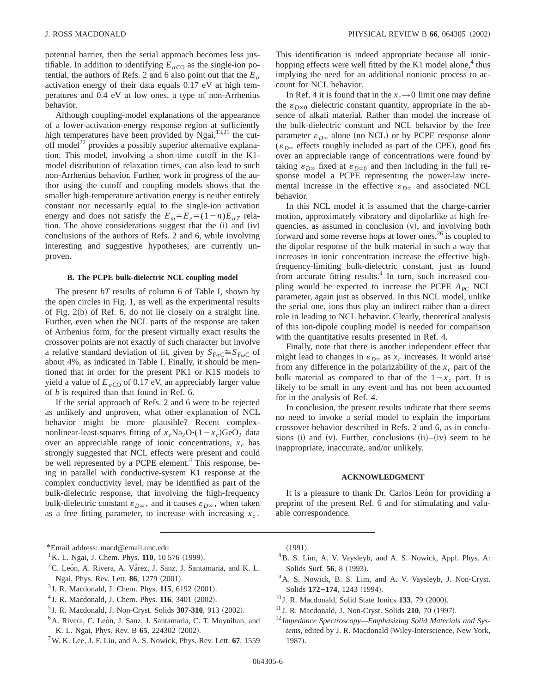potential barrier, then the serial approach becomes less justifiable. In addition to identifying  $E_{\sigma CO}$  as the single-ion potential, the authors of Refs. 2 and 6 also point out that the  $E_{\sigma}$ activation energy of their data equals 0.17 eV at high temperatures and 0.4 eV at low ones, a type of non-Arrhenius behavior.

Although coupling-model explanations of the appearance of a lower-activation-energy response region at sufficiently high temperatures have been provided by Ngai,<sup>13,25</sup> the cutoff model<sup>22</sup> provides a possibly superior alternative explanation. This model, involving a short-time cutoff in the K1 model distribution of relaxation times, can also lead to such non-Arrhenius behavior. Further, work in progress of the author using the cutoff and coupling models shows that the smaller high-temperature activation energy is neither entirely constant nor necessarily equal to the single-ion activation energy and does not satisfy the  $E_m = E_e = (1 - n)E_{\sigma T}$  relation. The above considerations suggest that the  $(i)$  and  $(iv)$ conclusions of the authors of Refs. 2 and 6, while involving interesting and suggestive hypotheses, are currently unproven.

#### **B. The PCPE bulk-dielectric NCL coupling model**

The present *bT* results of column 6 of Table I, shown by the open circles in Fig. 1, as well as the experimental results of Fig.  $2(b)$  of Ref. 6, do not lie closely on a straight line. Further, even when the NCL parts of the response are taken of Arrhenius form, for the present virtually exact results the crossover points are not exactly of such character but involve a relative standard deviation of fit, given by  $S_{F\sigma C} \cong S_{F\omega C}$  of about 4%, as indicated in Table I. Finally, it should be mentioned that in order for the present PK1 or K1S models to yield a value of  $E_{\sigma CO}$  of 0.17 eV, an appreciably larger value of *b* is required than that found in Ref. 6.

If the serial approach of Refs. 2 and 6 were to be rejected as unlikely and unproven, what other explanation of NCL behavior might be more plausible? Recent complexnonlinear-least-squares fitting of  $x_c$ Na<sub>2</sub>O· $(1-x_c)$ GeO<sub>2</sub> data over an appreciable range of ionic concentrations,  $x_c$  has strongly suggested that NCL effects were present and could be well represented by a PCPE element.<sup>4</sup> This response, being in parallel with conductive-system K1 response at the complex conductivity level, may be identified as part of the bulk-dielectric response, that involving the high-frequency bulk-dielectric constant  $\varepsilon_{D^\infty}$ , and it causes  $\varepsilon_{D^\infty}$ , when taken as a free fitting parameter, to increase with increasing  $x_c$ .

This identification is indeed appropriate because all ionichopping effects were well fitted by the K1 model alone, $4$  thus implying the need for an additional nonionic process to account for NCL behavior.

In Ref. 4 it is found that in the  $x_c \rightarrow 0$  limit one may define the  $\varepsilon_{D\infty}$  dielectric constant quantity, appropriate in the absence of alkali material. Rather than model the increase of the bulk-dielectric constant and NCL behavior by the free parameter  $\varepsilon_{D\infty}$  alone (no NCL) or by PCPE response alone  $(\varepsilon_{D\infty}$  effects roughly included as part of the CPE), good fits over an appreciable range of concentrations were found by taking  $\varepsilon_{D\infty}$  fixed at  $\varepsilon_{D\infty}$  and then including in the full response model a PCPE representing the power-law incremental increase in the effective  $\varepsilon_{D^\infty}$  and associated NCL behavior.

In this NCL model it is assumed that the charge-carrier motion, approximately vibratory and dipolarlike at high frequencies, as assumed in conclusion  $(v)$ , and involving both forward and some reverse hops at lower ones,  $2<sup>6</sup>$  is coupled to the dipolar response of the bulk material in such a way that increases in ionic concentration increase the effective highfrequency-limiting bulk-dielectric constant, just as found from accurate fitting results.<sup>4</sup> In turn, such increased coupling would be expected to increase the PCPE  $A_{PC}$  NCL parameter, again just as observed. In this NCL model, unlike the serial one, ions thus play an indirect rather than a direct role in leading to NCL behavior. Clearly, theoretical analysis of this ion-dipole coupling model is needed for comparison with the quantitative results presented in Ref. 4.

Finally, note that there is another independent effect that might lead to changes in  $\varepsilon_{D\infty}$  as  $x_c$  increases. It would arise from any difference in the polarizability of the  $x_c$  part of the bulk material as compared to that of the  $1-x_c$  part. It is likely to be small in any event and has not been accounted for in the analysis of Ref. 4.

In conclusion, the present results indicate that there seems no need to invoke a serial model to explain the important crossover behavior described in Refs. 2 and 6, as in conclusions  $(i)$  and  $(v)$ . Further, conclusions  $(ii)$ – $(iv)$  seem to be inappropriate, inaccurate, and/or unlikely.

#### **ACKNOWLEDGMENT**

It is a pleasure to thank Dr. Carlos Leon for providing a preprint of the present Ref. 6 and for stimulating and valuable correspondence.

- \*Email address: macd@email.unc.edu
- <sup>1</sup>K. L. Ngai, J. Chem. Phys. **110**, 10 576 (1999).
- ${}^{2}C$ . León, A. Rivera, A. Várez, J. Sanz, J. Santamaria, and K. L. Ngai, Phys. Rev. Lett. **86**, 1279 (2001).
- $3$  J. R. Macdonald, J. Chem. Phys. **115**, 6192  $(2001)$ .
- <sup>4</sup> J. R. Macdonald, J. Chem. Phys. **116**, 3401 (2002).
- <sup>5</sup> J. R. Macdonald, J. Non-Cryst. Solids **307-310**, 913 (2002).
- <sup>6</sup>A. Rivera, C. León, J. Sanz, J. Santamaria, C. T. Moynihan, and K. L. Ngai, Phys. Rev. B 65, 224302 (2002).
- 7W. K. Lee, J. F. Liu, and A. S. Nowick, Phys. Rev. Lett. **67**, 1559

 $(1991).$ 

- 8B. S. Lim, A. V. Vaysleyb, and A. S. Nowick, Appl. Phys. A: Solids Surf. **56**, 8 (1993).
- <sup>9</sup>A. S. Nowick, B. S. Lim, and A. V. Vaysleyb, J. Non-Cryst. Solids **172-174**, 1243 (1994).
- $10$  J. R. Macdonald, Solid State Ionics 133, 79  $(2000)$ .
- $11$  J. R. Macdonald, J. Non-Cryst. Solids  $210$ , 70  $(1997)$ .
- <sup>12</sup> *Impedance Spectroscopy—Emphasizing Solid Materials and Sys*tems, edited by J. R. Macdonald (Wiley-Interscience, New York, 1987).